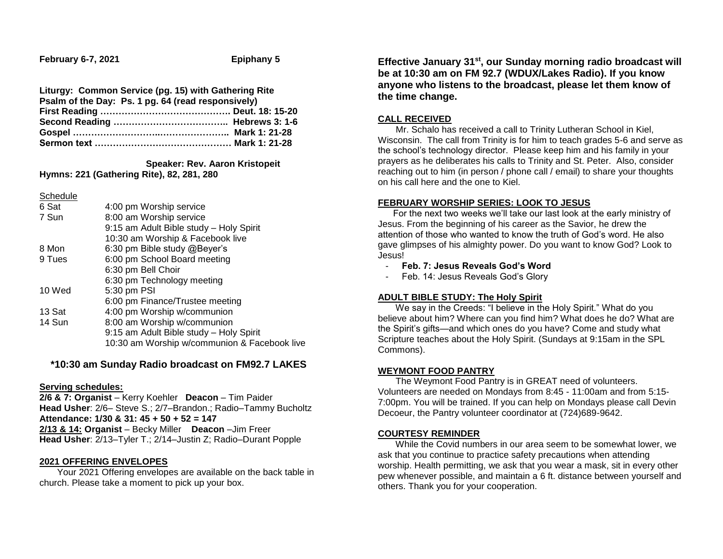**February 6-7, 2021 Epiphany 5**

| Liturgy: Common Service (pg. 15) with Gathering Rite |  |
|------------------------------------------------------|--|
| Psalm of the Day: Ps. 1 pg. 64 (read responsively)   |  |
|                                                      |  |
|                                                      |  |
|                                                      |  |
|                                                      |  |

 **Speaker: Rev. Aaron Kristopeit**

**Hymns: 221 (Gathering Rite), 82, 281, 280**

Schedule

| 6 Sat  | 4:00 pm Worship service                      |
|--------|----------------------------------------------|
| 7 Sun  | 8:00 am Worship service                      |
|        | 9:15 am Adult Bible study - Holy Spirit      |
|        | 10:30 am Worship & Facebook live             |
| 8 Mon  | 6:30 pm Bible study @Beyer's                 |
| 9 Tues | 6:00 pm School Board meeting                 |
|        | 6:30 pm Bell Choir                           |
|        | 6:30 pm Technology meeting                   |
| 10 Wed | 5:30 pm PSI                                  |
|        | 6:00 pm Finance/Trustee meeting              |
| 13 Sat | 4:00 pm Worship w/communion                  |
| 14 Sun | 8:00 am Worship w/communion                  |
|        | 9:15 am Adult Bible study - Holy Spirit      |
|        | 10:30 am Worship w/communion & Facebook live |
|        |                                              |

## **\*10:30 am Sunday Radio broadcast on FM92.7 LAKES**

#### **Serving schedules:**

**2/6 & 7: Organist** – Kerry Koehler **Deacon** – Tim Paider **Head Usher**: 2/6– Steve S.; 2/7–Brandon.; Radio–Tammy Bucholtz **Attendance: 1/30 & 31: 45 + 50 + 52 = 147 2/13 & 14: Organist** – Becky Miller **Deacon** –Jim Freer **Head Usher**: 2/13–Tyler T.; 2/14–Justin Z; Radio–Durant Popple

## **2021 OFFERING ENVELOPES**

 Your 2021 Offering envelopes are available on the back table in church. Please take a moment to pick up your box.

**Effective January 31st , our Sunday morning radio broadcast will be at 10:30 am on FM 92.7 (WDUX/Lakes Radio). If you know anyone who listens to the broadcast, please let them know of the time change.**

## **CALL RECEIVED**

 Mr. Schalo has received a call to Trinity Lutheran School in Kiel, Wisconsin. The call from Trinity is for him to teach grades 5-6 and serve as the school's technology director. Please keep him and his family in your prayers as he deliberates his calls to Trinity and St. Peter. Also, consider reaching out to him (in person / phone call / email) to share your thoughts on his call here and the one to Kiel.

## **FEBRUARY WORSHIP SERIES: LOOK TO JESUS**

 For the next two weeks we'll take our last look at the early ministry of Jesus. From the beginning of his career as the Savior, he drew the attention of those who wanted to know the truth of God's word. He also gave glimpses of his almighty power. Do you want to know God? Look to Jesus!

- **Feb. 7: Jesus Reveals God's Word**
- Feb. 14: Jesus Reveals God's Glory

## **ADULT BIBLE STUDY: The Holy Spirit**

 We say in the Creeds: "I believe in the Holy Spirit." What do you believe about him? Where can you find him? What does he do? What are the Spirit's gifts—and which ones do you have? Come and study what Scripture teaches about the Holy Spirit. (Sundays at 9:15am in the SPL Commons).

# **WEYMONT FOOD PANTRY**

 The Weymont Food Pantry is in GREAT need of volunteers. Volunteers are needed on Mondays from 8:45 - 11:00am and from 5:15- 7:00pm. You will be trained. If you can help on Mondays please call Devin Decoeur, the Pantry volunteer coordinator at (724)689-9642.

## **COURTESY REMINDER**

 While the Covid numbers in our area seem to be somewhat lower, we ask that you continue to practice safety precautions when attending worship. Health permitting, we ask that you wear a mask, sit in every other pew whenever possible, and maintain a 6 ft. distance between yourself and others. Thank you for your cooperation.